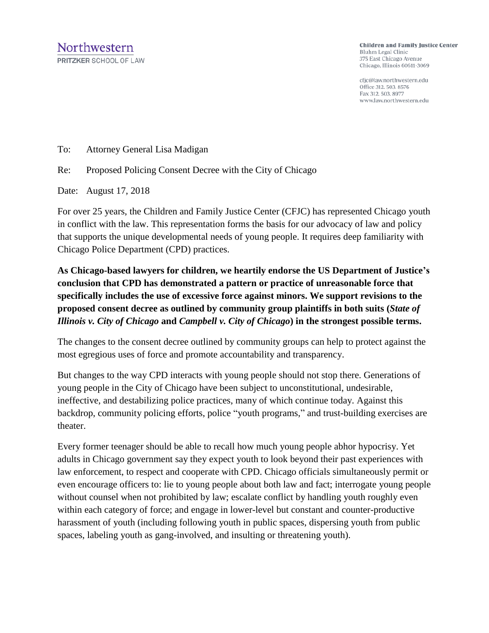**Children and Family Justice Center** Bluhm Legal Clinic 375 East Chicago Avenue Chicago, Illinois 60611-3069

cfjc@law.northwestern.edu Office 312. 503. 8576 Fax 312, 503, 8977 www.law.northwestern.edu

To: Attorney General Lisa Madigan

Re: Proposed Policing Consent Decree with the City of Chicago

Date: August 17, 2018

For over 25 years, the Children and Family Justice Center (CFJC) has represented Chicago youth in conflict with the law. This representation forms the basis for our advocacy of law and policy that supports the unique developmental needs of young people. It requires deep familiarity with Chicago Police Department (CPD) practices.

**As Chicago-based lawyers for children, we heartily endorse the US Department of Justice's conclusion that CPD has demonstrated a pattern or practice of unreasonable force that specifically includes the use of excessive force against minors. We support revisions to the proposed consent decree as outlined by community group plaintiffs in both suits (***State of Illinois v. City of Chicago* **and** *Campbell v. City of Chicago***) in the strongest possible terms.**

The changes to the consent decree outlined by community groups can help to protect against the most egregious uses of force and promote accountability and transparency.

But changes to the way CPD interacts with young people should not stop there. Generations of young people in the City of Chicago have been subject to unconstitutional, undesirable, ineffective, and destabilizing police practices, many of which continue today. Against this backdrop, community policing efforts, police "youth programs," and trust-building exercises are theater.

Every former teenager should be able to recall how much young people abhor hypocrisy. Yet adults in Chicago government say they expect youth to look beyond their past experiences with law enforcement, to respect and cooperate with CPD. Chicago officials simultaneously permit or even encourage officers to: lie to young people about both law and fact; interrogate young people without counsel when not prohibited by law; escalate conflict by handling youth roughly even within each category of force; and engage in lower-level but constant and counter-productive harassment of youth (including following youth in public spaces, dispersing youth from public spaces, labeling youth as gang-involved, and insulting or threatening youth).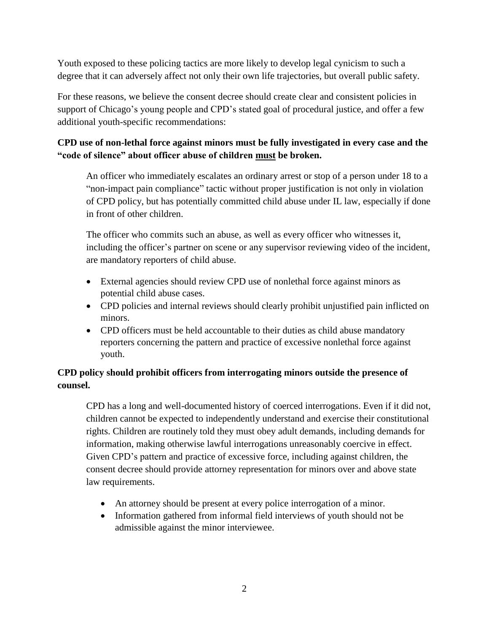Youth exposed to these policing tactics are more likely to develop legal cynicism to such a degree that it can adversely affect not only their own life trajectories, but overall public safety.

For these reasons, we believe the consent decree should create clear and consistent policies in support of Chicago's young people and CPD's stated goal of procedural justice, and offer a few additional youth-specific recommendations:

# **CPD use of non-lethal force against minors must be fully investigated in every case and the "code of silence" about officer abuse of children must be broken.**

An officer who immediately escalates an ordinary arrest or stop of a person under 18 to a "non-impact pain compliance" tactic without proper justification is not only in violation of CPD policy, but has potentially committed child abuse under IL law, especially if done in front of other children.

The officer who commits such an abuse, as well as every officer who witnesses it, including the officer's partner on scene or any supervisor reviewing video of the incident, are mandatory reporters of child abuse.

- External agencies should review CPD use of nonlethal force against minors as potential child abuse cases.
- CPD policies and internal reviews should clearly prohibit unjustified pain inflicted on minors.
- CPD officers must be held accountable to their duties as child abuse mandatory reporters concerning the pattern and practice of excessive nonlethal force against youth.

## **CPD policy should prohibit officers from interrogating minors outside the presence of counsel.**

CPD has a long and well-documented history of coerced interrogations. Even if it did not, children cannot be expected to independently understand and exercise their constitutional rights. Children are routinely told they must obey adult demands, including demands for information, making otherwise lawful interrogations unreasonably coercive in effect. Given CPD's pattern and practice of excessive force, including against children, the consent decree should provide attorney representation for minors over and above state law requirements.

- An attorney should be present at every police interrogation of a minor.
- Information gathered from informal field interviews of youth should not be admissible against the minor interviewee.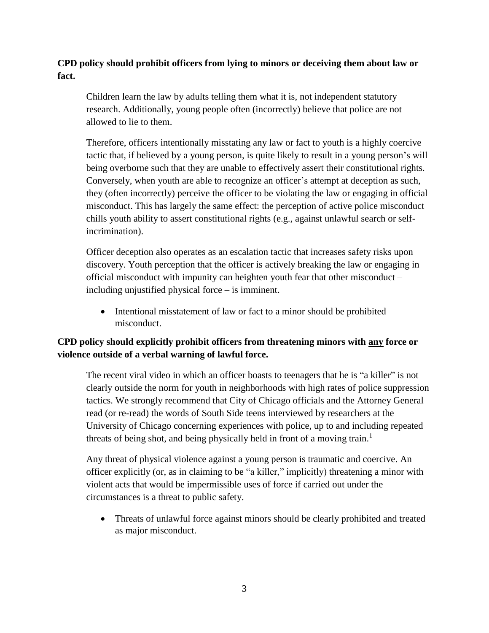#### **CPD policy should prohibit officers from lying to minors or deceiving them about law or fact.**

Children learn the law by adults telling them what it is, not independent statutory research. Additionally, young people often (incorrectly) believe that police are not allowed to lie to them.

Therefore, officers intentionally misstating any law or fact to youth is a highly coercive tactic that, if believed by a young person, is quite likely to result in a young person's will being overborne such that they are unable to effectively assert their constitutional rights. Conversely, when youth are able to recognize an officer's attempt at deception as such, they (often incorrectly) perceive the officer to be violating the law or engaging in official misconduct. This has largely the same effect: the perception of active police misconduct chills youth ability to assert constitutional rights (e.g., against unlawful search or selfincrimination).

Officer deception also operates as an escalation tactic that increases safety risks upon discovery. Youth perception that the officer is actively breaking the law or engaging in official misconduct with impunity can heighten youth fear that other misconduct – including unjustified physical force – is imminent.

• Intentional misstatement of law or fact to a minor should be prohibited misconduct.

## **CPD policy should explicitly prohibit officers from threatening minors with any force or violence outside of a verbal warning of lawful force.**

The recent viral video in which an officer boasts to teenagers that he is "a killer" is not clearly outside the norm for youth in neighborhoods with high rates of police suppression tactics. We strongly recommend that City of Chicago officials and the Attorney General read (or re-read) the words of South Side teens interviewed by researchers at the University of Chicago concerning experiences with police, up to and including repeated threats of being shot, and being physically held in front of a moving train.<sup>1</sup>

Any threat of physical violence against a young person is traumatic and coercive. An officer explicitly (or, as in claiming to be "a killer," implicitly) threatening a minor with violent acts that would be impermissible uses of force if carried out under the circumstances is a threat to public safety.

• Threats of unlawful force against minors should be clearly prohibited and treated as major misconduct.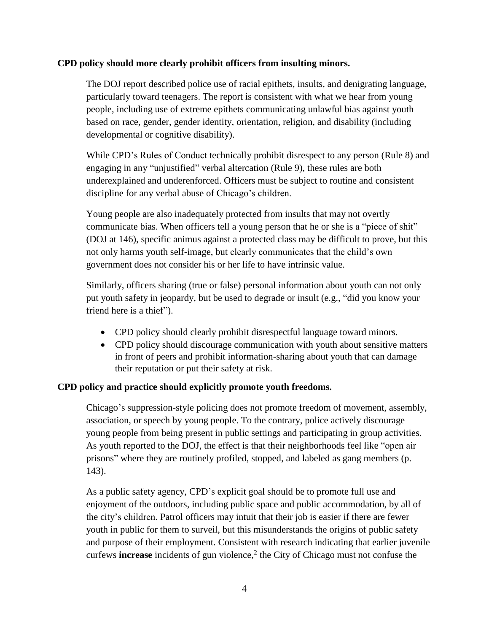#### **CPD policy should more clearly prohibit officers from insulting minors.**

The DOJ report described police use of racial epithets, insults, and denigrating language, particularly toward teenagers. The report is consistent with what we hear from young people, including use of extreme epithets communicating unlawful bias against youth based on race, gender, gender identity, orientation, religion, and disability (including developmental or cognitive disability).

While CPD's Rules of Conduct technically prohibit disrespect to any person (Rule 8) and engaging in any "unjustified" verbal altercation (Rule 9), these rules are both underexplained and underenforced. Officers must be subject to routine and consistent discipline for any verbal abuse of Chicago's children.

Young people are also inadequately protected from insults that may not overtly communicate bias. When officers tell a young person that he or she is a "piece of shit" (DOJ at 146), specific animus against a protected class may be difficult to prove, but this not only harms youth self-image, but clearly communicates that the child's own government does not consider his or her life to have intrinsic value.

Similarly, officers sharing (true or false) personal information about youth can not only put youth safety in jeopardy, but be used to degrade or insult (e.g., "did you know your friend here is a thief").

- CPD policy should clearly prohibit disrespectful language toward minors.
- CPD policy should discourage communication with youth about sensitive matters in front of peers and prohibit information-sharing about youth that can damage their reputation or put their safety at risk.

#### **CPD policy and practice should explicitly promote youth freedoms.**

Chicago's suppression-style policing does not promote freedom of movement, assembly, association, or speech by young people. To the contrary, police actively discourage young people from being present in public settings and participating in group activities. As youth reported to the DOJ, the effect is that their neighborhoods feel like "open air prisons" where they are routinely profiled, stopped, and labeled as gang members (p. 143).

As a public safety agency, CPD's explicit goal should be to promote full use and enjoyment of the outdoors, including public space and public accommodation, by all of the city's children. Patrol officers may intuit that their job is easier if there are fewer youth in public for them to surveil, but this misunderstands the origins of public safety and purpose of their employment. Consistent with research indicating that earlier juvenile curfews **increase** incidents of gun violence, $2$  the City of Chicago must not confuse the